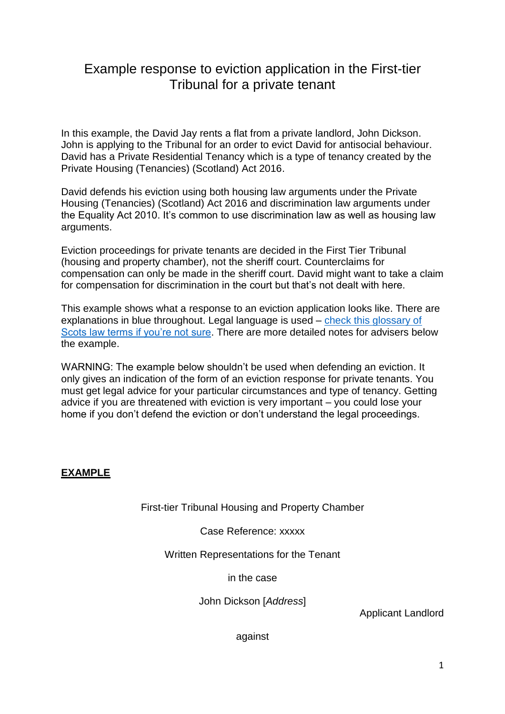# Example response to eviction application in the First-tier Tribunal for a private tenant

In this example, the David Jay rents a flat from a private landlord, John Dickson. John is applying to the Tribunal for an order to evict David for antisocial behaviour. David has a Private Residential Tenancy which is a type of tenancy created by the Private Housing (Tenancies) (Scotland) Act 2016.

David defends his eviction using both housing law arguments under the Private Housing (Tenancies) (Scotland) Act 2016 and discrimination law arguments under the Equality Act 2010. It's common to use discrimination law as well as housing law arguments.

Eviction proceedings for private tenants are decided in the First Tier Tribunal (housing and property chamber), not the sheriff court. Counterclaims for compensation can only be made in the sheriff court. David might want to take a claim for compensation for discrimination in the court but that's not dealt with here.

This example shows what a response to an eviction application looks like. There are explanations in blue throughout. Legal language is used – [check this glossary of](http://www.scotland-judiciary.org.uk/29/0/Glossary)  [Scots law terms if you're not sure.](http://www.scotland-judiciary.org.uk/29/0/Glossary) There are more detailed notes for advisers below the example.

WARNING: The example below shouldn't be used when defending an eviction. It only gives an indication of the form of an eviction response for private tenants. You must get legal advice for your particular circumstances and type of tenancy. Getting advice if you are threatened with eviction is very important – you could lose your home if you don't defend the eviction or don't understand the legal proceedings.

## **EXAMPLE**

First-tier Tribunal Housing and Property Chamber

### Case Reference: xxxxx

### Written Representations for the Tenant

#### in the case

John Dickson [*Address*]

Applicant Landlord

against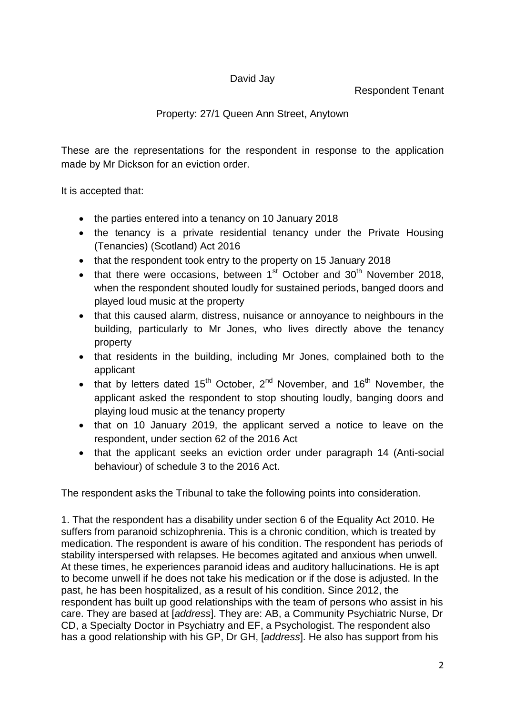# David Jay

Respondent Tenant

# Property: 27/1 Queen Ann Street, Anytown

These are the representations for the respondent in response to the application made by Mr Dickson for an eviction order.

It is accepted that:

- the parties entered into a tenancy on 10 January 2018
- the tenancy is a private residential tenancy under the Private Housing (Tenancies) (Scotland) Act 2016
- that the respondent took entry to the property on 15 January 2018
- that there were occasions, between  $1<sup>st</sup>$  October and  $30<sup>th</sup>$  November 2018, when the respondent shouted loudly for sustained periods, banged doors and played loud music at the property
- that this caused alarm, distress, nuisance or annoyance to neighbours in the building, particularly to Mr Jones, who lives directly above the tenancy property
- that residents in the building, including Mr Jones, complained both to the applicant
- that by letters dated 15<sup>th</sup> October, 2<sup>nd</sup> November, and 16<sup>th</sup> November, the applicant asked the respondent to stop shouting loudly, banging doors and playing loud music at the tenancy property
- that on 10 January 2019, the applicant served a notice to leave on the respondent, under section 62 of the 2016 Act
- that the applicant seeks an eviction order under paragraph 14 (Anti-social behaviour) of schedule 3 to the 2016 Act.

The respondent asks the Tribunal to take the following points into consideration.

1. That the respondent has a disability under section 6 of the Equality Act 2010. He suffers from paranoid schizophrenia. This is a chronic condition, which is treated by medication. The respondent is aware of his condition. The respondent has periods of stability interspersed with relapses. He becomes agitated and anxious when unwell. At these times, he experiences paranoid ideas and auditory hallucinations. He is apt to become unwell if he does not take his medication or if the dose is adjusted. In the past, he has been hospitalized, as a result of his condition. Since 2012, the respondent has built up good relationships with the team of persons who assist in his care. They are based at [*address*]. They are: AB, a Community Psychiatric Nurse, Dr CD, a Specialty Doctor in Psychiatry and EF, a Psychologist. The respondent also has a good relationship with his GP, Dr GH, [*address*]. He also has support from his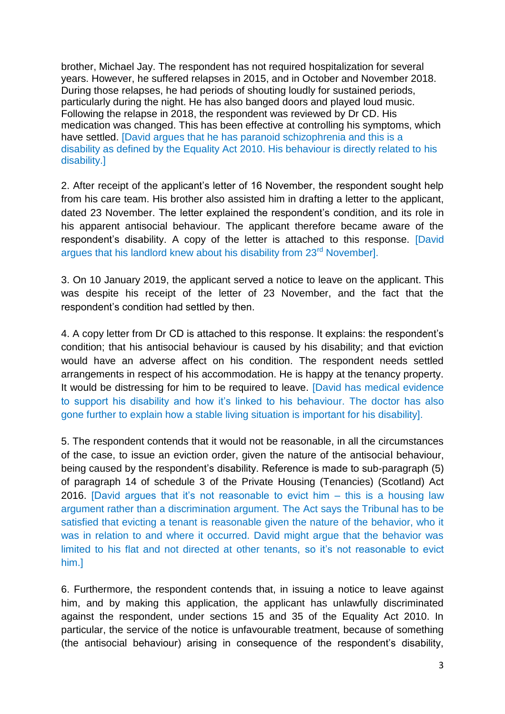brother, Michael Jay. The respondent has not required hospitalization for several years. However, he suffered relapses in 2015, and in October and November 2018. During those relapses, he had periods of shouting loudly for sustained periods, particularly during the night. He has also banged doors and played loud music. Following the relapse in 2018, the respondent was reviewed by Dr CD. His medication was changed. This has been effective at controlling his symptoms, which have settled. [David argues that he has paranoid schizophrenia and this is a disability as defined by the Equality Act 2010. His behaviour is directly related to his disability.]

2. After receipt of the applicant's letter of 16 November, the respondent sought help from his care team. His brother also assisted him in drafting a letter to the applicant, dated 23 November. The letter explained the respondent's condition, and its role in his apparent antisocial behaviour. The applicant therefore became aware of the respondent's disability. A copy of the letter is attached to this response. [David argues that his landlord knew about his disability from 23<sup>rd</sup> November].

3. On 10 January 2019, the applicant served a notice to leave on the applicant. This was despite his receipt of the letter of 23 November, and the fact that the respondent's condition had settled by then.

4. A copy letter from Dr CD is attached to this response. It explains: the respondent's condition; that his antisocial behaviour is caused by his disability; and that eviction would have an adverse affect on his condition. The respondent needs settled arrangements in respect of his accommodation. He is happy at the tenancy property. It would be distressing for him to be required to leave. [David has medical evidence to support his disability and how it's linked to his behaviour. The doctor has also gone further to explain how a stable living situation is important for his disability].

5. The respondent contends that it would not be reasonable, in all the circumstances of the case, to issue an eviction order, given the nature of the antisocial behaviour, being caused by the respondent's disability. Reference is made to sub-paragraph (5) of paragraph 14 of schedule 3 of the Private Housing (Tenancies) (Scotland) Act 2016. [David argues that it's not reasonable to evict him – this is a housing law argument rather than a discrimination argument. The Act says the Tribunal has to be satisfied that evicting a tenant is reasonable given the nature of the behavior, who it was in relation to and where it occurred. David might argue that the behavior was limited to his flat and not directed at other tenants, so it's not reasonable to evict him.]

6. Furthermore, the respondent contends that, in issuing a notice to leave against him, and by making this application, the applicant has unlawfully discriminated against the respondent, under sections 15 and 35 of the Equality Act 2010. In particular, the service of the notice is unfavourable treatment, because of something (the antisocial behaviour) arising in consequence of the respondent's disability,